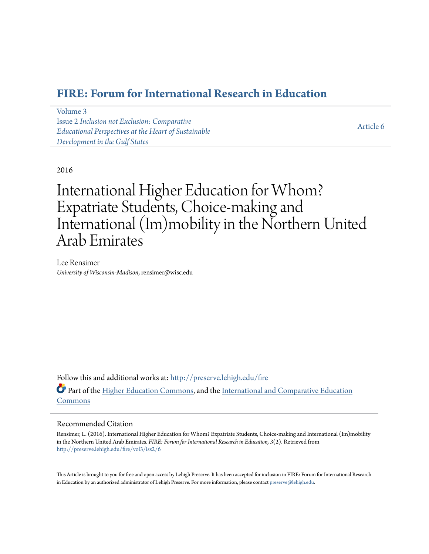# **[FIRE: Forum for International Research in Education](http://preserve.lehigh.edu/fire?utm_source=preserve.lehigh.edu%2Ffire%2Fvol3%2Fiss2%2F6&utm_medium=PDF&utm_campaign=PDFCoverPages)**

| Volume 3                                             |           |
|------------------------------------------------------|-----------|
| <b>Issue 2 Inclusion not Exclusion: Comparative</b>  |           |
| Educational Perspectives at the Heart of Sustainable | Article 6 |
| Development in the Gulf States                       |           |

2016

International Higher Education for Whom? Expatriate Students, Choice-making and International (Im)mobility in the Northern United Arab Emirates

Lee Rensimer *University of Wisconsin-Madison*, rensimer@wisc.edu

Follow this and additional works at: [http://preserve.lehigh.edu/fire](http://preserve.lehigh.edu/fire?utm_source=preserve.lehigh.edu%2Ffire%2Fvol3%2Fiss2%2F6&utm_medium=PDF&utm_campaign=PDFCoverPages) Part of the [Higher Education Commons](http://network.bepress.com/hgg/discipline/1245?utm_source=preserve.lehigh.edu%2Ffire%2Fvol3%2Fiss2%2F6&utm_medium=PDF&utm_campaign=PDFCoverPages), and the [International and Comparative Education](http://network.bepress.com/hgg/discipline/797?utm_source=preserve.lehigh.edu%2Ffire%2Fvol3%2Fiss2%2F6&utm_medium=PDF&utm_campaign=PDFCoverPages) [Commons](http://network.bepress.com/hgg/discipline/797?utm_source=preserve.lehigh.edu%2Ffire%2Fvol3%2Fiss2%2F6&utm_medium=PDF&utm_campaign=PDFCoverPages)

#### Recommended Citation

Rensimer, L. (2016). International Higher Education for Whom? Expatriate Students, Choice-making and International (Im)mobility in the Northern United Arab Emirates. *FIRE: Forum for International Research in Education, 3*(2). Retrieved from [http://preserve.lehigh.edu/fire/vol3/iss2/6](http://preserve.lehigh.edu/fire/vol3/iss2/6?utm_source=preserve.lehigh.edu%2Ffire%2Fvol3%2Fiss2%2F6&utm_medium=PDF&utm_campaign=PDFCoverPages)

This Article is brought to you for free and open access by Lehigh Preserve. It has been accepted for inclusion in FIRE: Forum for International Research in Education by an authorized administrator of Lehigh Preserve. For more information, please contact [preserve@lehigh.edu](mailto:preserve@lehigh.edu).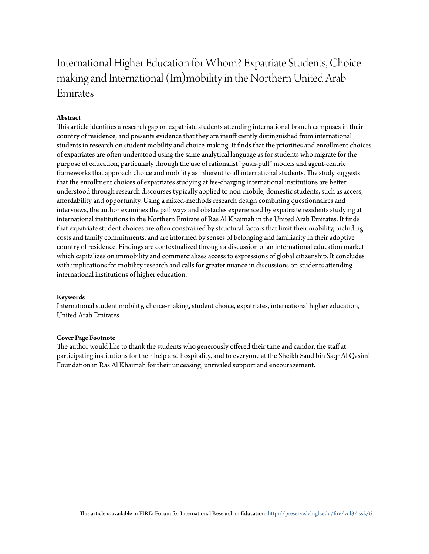# International Higher Education for Whom? Expatriate Students, Choicemaking and International (Im)mobility in the Northern United Arab Emirates

#### **Abstract**

This article identifies a research gap on expatriate students attending international branch campuses in their country of residence, and presents evidence that they are insufficiently distinguished from international students in research on student mobility and choice-making. It finds that the priorities and enrollment choices of expatriates are often understood using the same analytical language as for students who migrate for the purpose of education, particularly through the use of rationalist "push-pull" models and agent-centric frameworks that approach choice and mobility as inherent to all international students. The study suggests that the enrollment choices of expatriates studying at fee-charging international institutions are better understood through research discourses typically applied to non-mobile, domestic students, such as access, affordability and opportunity. Using a mixed-methods research design combining questionnaires and interviews, the author examines the pathways and obstacles experienced by expatriate residents studying at international institutions in the Northern Emirate of Ras Al Khaimah in the United Arab Emirates. It finds that expatriate student choices are often constrained by structural factors that limit their mobility, including costs and family commitments, and are informed by senses of belonging and familiarity in their adoptive country of residence. Findings are contextualized through a discussion of an international education market which capitalizes on immobility and commercializes access to expressions of global citizenship. It concludes with implications for mobility research and calls for greater nuance in discussions on students attending international institutions of higher education.

#### **Keywords**

International student mobility, choice-making, student choice, expatriates, international higher education, United Arab Emirates

#### **Cover Page Footnote**

The author would like to thank the students who generously offered their time and candor, the staff at participating institutions for their help and hospitality, and to everyone at the Sheikh Saud bin Saqr Al Qasimi Foundation in Ras Al Khaimah for their unceasing, unrivaled support and encouragement.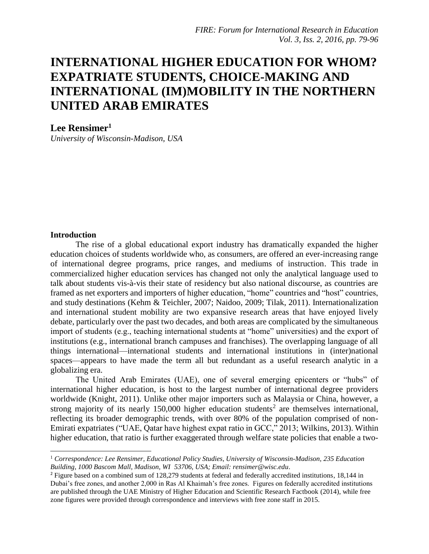# **INTERNATIONAL HIGHER EDUCATION FOR WHOM? EXPATRIATE STUDENTS, CHOICE-MAKING AND INTERNATIONAL (IM)MOBILITY IN THE NORTHERN UNITED ARAB EMIRATES**

### **Lee Rensimer<sup>1</sup>**

*University of Wisconsin-Madison, USA*

#### **Introduction**

l

The rise of a global educational export industry has dramatically expanded the higher education choices of students worldwide who, as consumers, are offered an ever-increasing range of international degree programs, price ranges, and mediums of instruction. This trade in commercialized higher education services has changed not only the analytical language used to talk about students vis-à-vis their state of residency but also national discourse, as countries are framed as net exporters and importers of higher education, "home" countries and "host" countries, and study destinations (Kehm & Teichler, 2007; Naidoo, 2009; Tilak, 2011). Internationalization and international student mobility are two expansive research areas that have enjoyed lively debate, particularly over the past two decades, and both areas are complicated by the simultaneous import of students (e.g., teaching international students at "home" universities) and the export of institutions (e.g., international branch campuses and franchises). The overlapping language of all things international—international students and international institutions in (inter)national spaces—appears to have made the term all but redundant as a useful research analytic in a globalizing era.

The United Arab Emirates (UAE), one of several emerging epicenters or "hubs" of international higher education, is host to the largest number of international degree providers worldwide (Knight, 2011). Unlike other major importers such as Malaysia or China, however, a strong majority of its nearly 150,000 higher education students<sup>2</sup> are themselves international, reflecting its broader demographic trends, with over 80% of the population comprised of non-Emirati expatriates ("UAE, Qatar have highest expat ratio in GCC," 2013; Wilkins, 2013). Within higher education, that ratio is further exaggerated through welfare state policies that enable a two-

<sup>1</sup> *Correspondence: Lee Rensimer, Educational Policy Studies, University of Wisconsin-Madison, 235 Education Building, 1000 Bascom Mall, Madison, WI 53706, USA; Email: rensimer@wisc.edu*.

<sup>&</sup>lt;sup>2</sup> Figure based on a combined sum of 128,279 students at federal and federally accredited institutions, 18,144 in Dubai's free zones, and another 2,000 in Ras Al Khaimah's free zones. Figures on federally accredited institutions are published through the UAE Ministry of Higher Education and Scientific Research Factbook (2014), while free zone figures were provided through correspondence and interviews with free zone staff in 2015.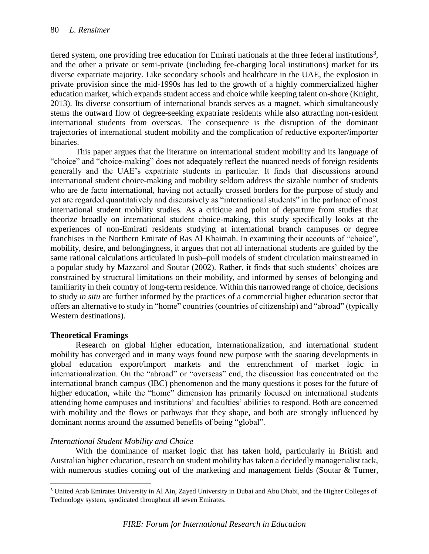tiered system, one providing free education for Emirati nationals at the three federal institutions<sup>3</sup>, and the other a private or semi-private (including fee-charging local institutions) market for its diverse expatriate majority. Like secondary schools and healthcare in the UAE, the explosion in private provision since the mid-1990s has led to the growth of a highly commercialized higher education market, which expands student access and choice while keeping talent on-shore (Knight, 2013). Its diverse consortium of international brands serves as a magnet, which simultaneously stems the outward flow of degree-seeking expatriate residents while also attracting non-resident international students from overseas. The consequence is the disruption of the dominant trajectories of international student mobility and the complication of reductive exporter/importer binaries.

This paper argues that the literature on international student mobility and its language of "choice" and "choice-making" does not adequately reflect the nuanced needs of foreign residents generally and the UAE's expatriate students in particular. It finds that discussions around international student choice-making and mobility seldom address the sizable number of students who are de facto international, having not actually crossed borders for the purpose of study and yet are regarded quantitatively and discursively as "international students" in the parlance of most international student mobility studies. As a critique and point of departure from studies that theorize broadly on international student choice-making, this study specifically looks at the experiences of non-Emirati residents studying at international branch campuses or degree franchises in the Northern Emirate of Ras Al Khaimah. In examining their accounts of "choice", mobility, desire, and belongingness, it argues that not all international students are guided by the same rational calculations articulated in push–pull models of student circulation mainstreamed in a popular study by Mazzarol and Soutar (2002). Rather, it finds that such students' choices are constrained by structural limitations on their mobility, and informed by senses of belonging and familiarity in their country of long-term residence. Within this narrowed range of choice, decisions to study *in situ* are further informed by the practices of a commercial higher education sector that offers an alternative to study in "home" countries (countries of citizenship) and "abroad" (typically Western destinations).

### **Theoretical Framings**

l

Research on global higher education, internationalization, and international student mobility has converged and in many ways found new purpose with the soaring developments in global education export/import markets and the entrenchment of market logic in internationalization. On the "abroad" or "overseas" end, the discussion has concentrated on the international branch campus (IBC) phenomenon and the many questions it poses for the future of higher education, while the "home" dimension has primarily focused on international students attending home campuses and institutions' and faculties' abilities to respond. Both are concerned with mobility and the flows or pathways that they shape, and both are strongly influenced by dominant norms around the assumed benefits of being "global".

# *International Student Mobility and Choice*

With the dominance of market logic that has taken hold, particularly in British and Australian higher education, research on student mobility has taken a decidedly managerialist tack, with numerous studies coming out of the marketing and management fields (Soutar & Turner,

<sup>3</sup> United Arab Emirates University in Al Ain, Zayed University in Dubai and Abu Dhabi, and the Higher Colleges of Technology system, syndicated throughout all seven Emirates.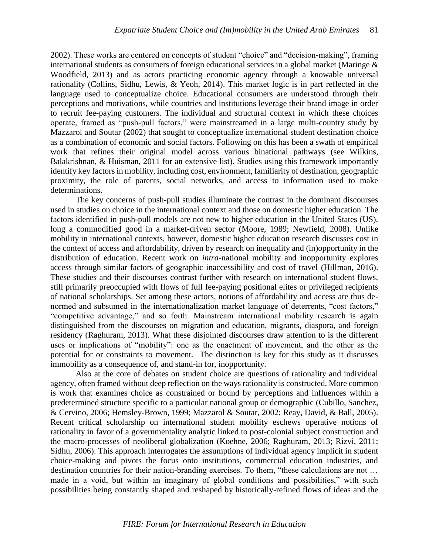2002). These works are centered on concepts of student "choice" and "decision-making", framing international students as consumers of foreign educational services in a global market (Maringe & Woodfield, 2013) and as actors practicing economic agency through a knowable universal rationality (Collins, Sidhu, Lewis, & Yeoh, 2014). This market logic is in part reflected in the language used to conceptualize choice. Educational consumers are understood through their perceptions and motivations, while countries and institutions leverage their brand image in order to recruit fee-paying customers. The individual and structural context in which these choices operate, framed as "push-pull factors," were mainstreamed in a large multi-country study by Mazzarol and Soutar (2002) that sought to conceptualize international student destination choice as a combination of economic and social factors. Following on this has been a swath of empirical work that refines their original model across various binational pathways (see Wilkins, Balakrishnan, & Huisman, 2011 for an extensive list). Studies using this framework importantly identify key factors in mobility, including cost, environment, familiarity of destination, geographic proximity, the role of parents, social networks, and access to information used to make determinations.

The key concerns of push-pull studies illuminate the contrast in the dominant discourses used in studies on choice in the international context and those on domestic higher education. The factors identified in push-pull models are not new to higher education in the United States (US), long a commodified good in a market-driven sector (Moore, 1989; Newfield, 2008). Unlike mobility in international contexts, however, domestic higher education research discusses cost in the context of access and affordability, driven by research on inequality and (in)opportunity in the distribution of education. Recent work on *intra-*national mobility and inopportunity explores access through similar factors of geographic inaccessibility and cost of travel (Hillman, 2016). These studies and their discourses contrast further with research on international student flows, still primarily preoccupied with flows of full fee-paying positional elites or privileged recipients of national scholarships. Set among these actors, notions of affordability and access are thus denormed and subsumed in the internationalization market language of deterrents, "cost factors," "competitive advantage," and so forth. Mainstream international mobility research is again distinguished from the discourses on migration and education, migrants, diaspora, and foreign residency (Raghuram, 2013). What these disjointed discourses draw attention to is the different uses or implications of "mobility": one as the enactment of movement, and the other as the potential for or constraints to movement. The distinction is key for this study as it discusses immobility as a consequence of, and stand-in for, inopportunity.

Also at the core of debates on student choice are questions of rationality and individual agency, often framed without deep reflection on the ways rationality is constructed. More common is work that examines choice as constrained or bound by perceptions and influences within a predetermined structure specific to a particular national group or demographic (Cubillo, Sanchez, & Cervino, 2006; Hemsley-Brown, 1999; Mazzarol & Soutar, 2002; Reay, David, & Ball, 2005). Recent critical scholarship on international student mobility eschews operative notions of rationality in favor of a governmentality analytic linked to post-colonial subject construction and the macro-processes of neoliberal globalization (Koehne, 2006; Raghuram, 2013; Rizvi, 2011; Sidhu, 2006). This approach interrogates the assumptions of individual agency implicit in student choice-making and pivots the focus onto institutions, commercial education industries, and destination countries for their nation-branding exercises. To them, "these calculations are not … made in a void, but within an imaginary of global conditions and possibilities," with such possibilities being constantly shaped and reshaped by historically-refined flows of ideas and the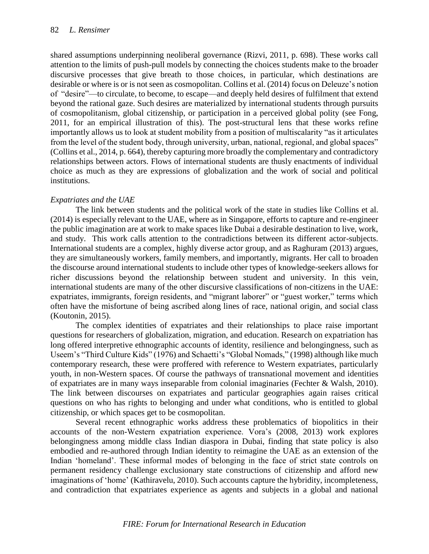shared assumptions underpinning neoliberal governance (Rizvi, 2011, p. 698). These works call attention to the limits of push-pull models by connecting the choices students make to the broader discursive processes that give breath to those choices, in particular, which destinations are desirable or where is or is not seen as cosmopolitan. Collins et al. (2014) focus on Deleuze's notion of "desire"—to circulate, to become, to escape—and deeply held desires of fulfilment that extend beyond the rational gaze. Such desires are materialized by international students through pursuits of cosmopolitanism, global citizenship, or participation in a perceived global polity (see Fong, 2011, for an empirical illustration of this). The post-structural lens that these works refine importantly allows us to look at student mobility from a position of multiscalarity "as it articulates from the level of the student body, through university, urban, national, regional, and global spaces" (Collins et al., 2014, p. 664), thereby capturing more broadly the complementary and contradictory relationships between actors. Flows of international students are thusly enactments of individual choice as much as they are expressions of globalization and the work of social and political institutions.

## *Expatriates and the UAE*

The link between students and the political work of the state in studies like Collins et al. (2014) is especially relevant to the UAE, where as in Singapore, efforts to capture and re-engineer the public imagination are at work to make spaces like Dubai a desirable destination to live, work, and study. This work calls attention to the contradictions between its different actor-subjects. International students are a complex, highly diverse actor group, and as Raghuram (2013) argues, they are simultaneously workers, family members, and importantly, migrants. Her call to broaden the discourse around international students to include other types of knowledge-seekers allows for richer discussions beyond the relationship between student and university. In this vein, international students are many of the other discursive classifications of non-citizens in the UAE: expatriates, immigrants, foreign residents, and "migrant laborer" or "guest worker," terms which often have the misfortune of being ascribed along lines of race, national origin, and social class (Koutonin, 2015).

The complex identities of expatriates and their relationships to place raise important questions for researchers of globalization, migration, and education. Research on expatriation has long offered interpretive ethnographic accounts of identity, resilience and belongingness, such as Useem's "Third Culture Kids" (1976) and Schaetti's "Global Nomads," (1998) although like much contemporary research, these were proffered with reference to Western expatriates, particularly youth, in non-Western spaces. Of course the pathways of transnational movement and identities of expatriates are in many ways inseparable from colonial imaginaries (Fechter & Walsh, 2010). The link between discourses on expatriates and particular geographies again raises critical questions on who has rights to belonging and under what conditions, who is entitled to global citizenship, or which spaces get to be cosmopolitan.

Several recent ethnographic works address these problematics of biopolitics in their accounts of the non-Western expatriation experience. Vora's (2008, 2013) work explores belongingness among middle class Indian diaspora in Dubai, finding that state policy is also embodied and re-authored through Indian identity to reimagine the UAE as an extension of the Indian 'homeland'. These informal modes of belonging in the face of strict state controls on permanent residency challenge exclusionary state constructions of citizenship and afford new imaginations of 'home' (Kathiravelu, 2010). Such accounts capture the hybridity, incompleteness, and contradiction that expatriates experience as agents and subjects in a global and national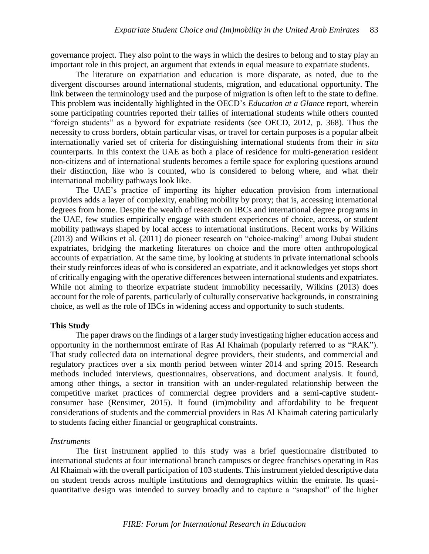governance project. They also point to the ways in which the desires to belong and to stay play an important role in this project, an argument that extends in equal measure to expatriate students.

The literature on expatriation and education is more disparate, as noted, due to the divergent discourses around international students, migration, and educational opportunity. The link between the terminology used and the purpose of migration is often left to the state to define. This problem was incidentally highlighted in the OECD's *Education at a Glance* report, wherein some participating countries reported their tallies of international students while others counted "foreign students" as a byword for expatriate residents (see OECD, 2012, p. 368). Thus the necessity to cross borders, obtain particular visas, or travel for certain purposes is a popular albeit internationally varied set of criteria for distinguishing international students from their *in situ* counterparts. In this context the UAE as both a place of residence for multi-generation resident non-citizens and of international students becomes a fertile space for exploring questions around their distinction, like who is counted, who is considered to belong where, and what their international mobility pathways look like.

The UAE's practice of importing its higher education provision from international providers adds a layer of complexity, enabling mobility by proxy; that is, accessing international degrees from home. Despite the wealth of research on IBCs and international degree programs in the UAE, few studies empirically engage with student experiences of choice, access, or student mobility pathways shaped by local access to international institutions. Recent works by Wilkins (2013) and Wilkins et al*.* (2011) do pioneer research on "choice-making" among Dubai student expatriates, bridging the marketing literatures on choice and the more often anthropological accounts of expatriation. At the same time, by looking at students in private international schools their study reinforces ideas of who is considered an expatriate, and it acknowledges yet stops short of critically engaging with the operative differences between international students and expatriates. While not aiming to theorize expatriate student immobility necessarily, Wilkins (2013) does account for the role of parents, particularly of culturally conservative backgrounds, in constraining choice, as well as the role of IBCs in widening access and opportunity to such students.

#### **This Study**

The paper draws on the findings of a larger study investigating higher education access and opportunity in the northernmost emirate of Ras Al Khaimah (popularly referred to as "RAK"). That study collected data on international degree providers, their students, and commercial and regulatory practices over a six month period between winter 2014 and spring 2015. Research methods included interviews, questionnaires, observations, and document analysis. It found, among other things, a sector in transition with an under-regulated relationship between the competitive market practices of commercial degree providers and a semi-captive studentconsumer base (Rensimer, 2015). It found (im)mobility and affordability to be frequent considerations of students and the commercial providers in Ras Al Khaimah catering particularly to students facing either financial or geographical constraints.

#### *Instruments*

The first instrument applied to this study was a brief questionnaire distributed to international students at four international branch campuses or degree franchises operating in Ras Al Khaimah with the overall participation of 103 students. This instrument yielded descriptive data on student trends across multiple institutions and demographics within the emirate. Its quasiquantitative design was intended to survey broadly and to capture a "snapshot" of the higher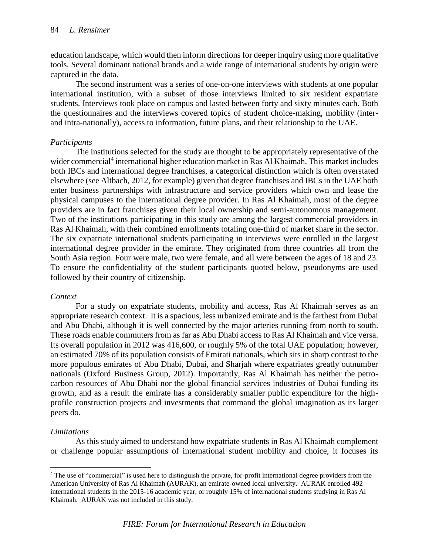education landscape, which would then inform directions for deeper inquiry using more qualitative tools. Several dominant national brands and a wide range of international students by origin were captured in the data.

The second instrument was a series of one-on-one interviews with students at one popular international institution, with a subset of those interviews limited to six resident expatriate students. Interviews took place on campus and lasted between forty and sixty minutes each. Both the questionnaires and the interviews covered topics of student choice-making, mobility (interand intra-nationally), access to information, future plans, and their relationship to the UAE.

## *Participants*

The institutions selected for the study are thought to be appropriately representative of the wider commercial<sup>4</sup> international higher education market in Ras Al Khaimah. This market includes both IBCs and international degree franchises, a categorical distinction which is often overstated elsewhere (see Altbach, 2012, for example) given that degree franchises and IBCs in the UAE both enter business partnerships with infrastructure and service providers which own and lease the physical campuses to the international degree provider. In Ras Al Khaimah, most of the degree providers are in fact franchises given their local ownership and semi-autonomous management. Two of the institutions participating in this study are among the largest commercial providers in Ras Al Khaimah, with their combined enrollments totaling one-third of market share in the sector. The six expatriate international students participating in interviews were enrolled in the largest international degree provider in the emirate. They originated from three countries all from the South Asia region. Four were male, two were female, and all were between the ages of 18 and 23. To ensure the confidentiality of the student participants quoted below, pseudonyms are used followed by their country of citizenship.

### *Context*

For a study on expatriate students, mobility and access, Ras Al Khaimah serves as an appropriate research context. It is a spacious, less urbanized emirate and is the farthest from Dubai and Abu Dhabi, although it is well connected by the major arteries running from north to south. These roads enable commuters from as far as Abu Dhabi access to Ras Al Khaimah and vice versa. Its overall population in 2012 was 416,600, or roughly 5% of the total UAE population; however, an estimated 70% of its population consists of Emirati nationals, which sits in sharp contrast to the more populous emirates of Abu Dhabi, Dubai, and Sharjah where expatriates greatly outnumber nationals (Oxford Business Group, 2012). Importantly, Ras Al Khaimah has neither the petrocarbon resources of Abu Dhabi nor the global financial services industries of Dubai funding its growth, and as a result the emirate has a considerably smaller public expenditure for the highprofile construction projects and investments that command the global imagination as its larger peers do.

# *Limitations*

 $\overline{\phantom{a}}$ 

As this study aimed to understand how expatriate students in Ras Al Khaimah complement or challenge popular assumptions of international student mobility and choice, it focuses its

<sup>&</sup>lt;sup>4</sup> The use of "commercial" is used here to distinguish the private, for-profit international degree providers from the American University of Ras Al Khaimah (AURAK), an emirate-owned local university. AURAK enrolled 492 international students in the 2015-16 academic year, or roughly 15% of international students studying in Ras Al Khaimah. AURAK was not included in this study.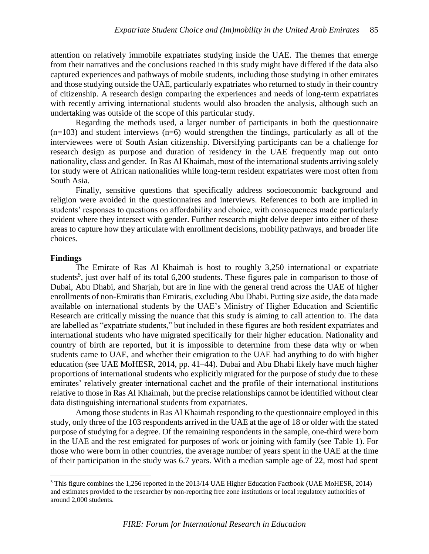attention on relatively immobile expatriates studying inside the UAE. The themes that emerge from their narratives and the conclusions reached in this study might have differed if the data also captured experiences and pathways of mobile students, including those studying in other emirates and those studying outside the UAE, particularly expatriates who returned to study in their country of citizenship. A research design comparing the experiences and needs of long-term expatriates with recently arriving international students would also broaden the analysis, although such an undertaking was outside of the scope of this particular study.

Regarding the methods used, a larger number of participants in both the questionnaire  $(n=103)$  and student interviews  $(n=6)$  would strengthen the findings, particularly as all of the interviewees were of South Asian citizenship. Diversifying participants can be a challenge for research design as purpose and duration of residency in the UAE frequently map out onto nationality, class and gender. In Ras Al Khaimah, most of the international students arriving solely for study were of African nationalities while long-term resident expatriates were most often from South Asia.

Finally, sensitive questions that specifically address socioeconomic background and religion were avoided in the questionnaires and interviews. References to both are implied in students' responses to questions on affordability and choice, with consequences made particularly evident where they intersect with gender. Further research might delve deeper into either of these areas to capture how they articulate with enrollment decisions, mobility pathways, and broader life choices.

#### **Findings**

 $\overline{\phantom{a}}$ 

The Emirate of Ras Al Khaimah is host to roughly 3,250 international or expatriate students<sup>5</sup>, just over half of its total 6,200 students. These figures pale in comparison to those of Dubai, Abu Dhabi, and Sharjah, but are in line with the general trend across the UAE of higher enrollments of non-Emiratis than Emiratis, excluding Abu Dhabi. Putting size aside, the data made available on international students by the UAE's Ministry of Higher Education and Scientific Research are critically missing the nuance that this study is aiming to call attention to. The data are labelled as "expatriate students," but included in these figures are both resident expatriates and international students who have migrated specifically for their higher education. Nationality and country of birth are reported, but it is impossible to determine from these data why or when students came to UAE, and whether their emigration to the UAE had anything to do with higher education (see UAE MoHESR, 2014, pp. 41–44). Dubai and Abu Dhabi likely have much higher proportions of international students who explicitly migrated for the purpose of study due to these emirates' relatively greater international cachet and the profile of their international institutions relative to those in Ras Al Khaimah, but the precise relationships cannot be identified without clear data distinguishing international students from expatriates.

Among those students in Ras Al Khaimah responding to the questionnaire employed in this study, only three of the 103 respondents arrived in the UAE at the age of 18 or older with the stated purpose of studying for a degree. Of the remaining respondents in the sample, one-third were born in the UAE and the rest emigrated for purposes of work or joining with family (see Table 1). For those who were born in other countries, the average number of years spent in the UAE at the time of their participation in the study was 6.7 years. With a median sample age of 22, most had spent

<sup>5</sup> This figure combines the 1,256 reported in the 2013/14 UAE Higher Education Factbook (UAE MoHESR, 2014) and estimates provided to the researcher by non-reporting free zone institutions or local regulatory authorities of around 2,000 students.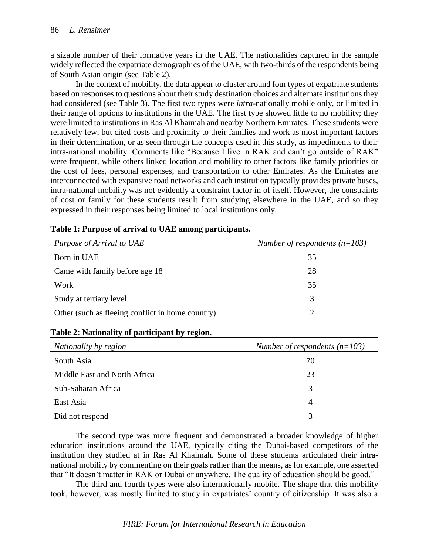a sizable number of their formative years in the UAE. The nationalities captured in the sample widely reflected the expatriate demographics of the UAE, with two-thirds of the respondents being of South Asian origin (see Table 2).

In the context of mobility, the data appear to cluster around four types of expatriate students based on responses to questions about their study destination choices and alternate institutions they had considered (see Table 3). The first two types were *intra*-nationally mobile only, or limited in their range of options to institutions in the UAE. The first type showed little to no mobility; they were limited to institutions in Ras Al Khaimah and nearby Northern Emirates. These students were relatively few, but cited costs and proximity to their families and work as most important factors in their determination, or as seen through the concepts used in this study, as impediments to their intra-national mobility. Comments like "Because I live in RAK and can't go outside of RAK" were frequent, while others linked location and mobility to other factors like family priorities or the cost of fees, personal expenses, and transportation to other Emirates. As the Emirates are interconnected with expansive road networks and each institution typically provides private buses, intra-national mobility was not evidently a constraint factor in of itself. However, the constraints of cost or family for these students result from studying elsewhere in the UAE, and so they expressed in their responses being limited to local institutions only.

| Purpose of Arrival to UAE                        | Number of respondents $(n=103)$ |
|--------------------------------------------------|---------------------------------|
| Born in UAE                                      | 35                              |
| Came with family before age 18                   | 28                              |
| Work                                             | 35                              |
| Study at tertiary level                          | 3                               |
| Other (such as fleeing conflict in home country) |                                 |

|  |  | Table 1: Purpose of arrival to UAE among participants. |
|--|--|--------------------------------------------------------|
|  |  |                                                        |

# **Table 2: Nationality of participant by region.**

| Nationality by region        | Number of respondents $(n=103)$ |
|------------------------------|---------------------------------|
| South Asia                   | 70                              |
| Middle East and North Africa | 23                              |
| Sub-Saharan Africa           | 3                               |
| East Asia                    | 4                               |
| Did not respond              | 3                               |

The second type was more frequent and demonstrated a broader knowledge of higher education institutions around the UAE, typically citing the Dubai-based competitors of the institution they studied at in Ras Al Khaimah. Some of these students articulated their intranational mobility by commenting on their goals rather than the means, as for example, one asserted that "It doesn't matter in RAK or Dubai or anywhere. The quality of education should be good."

The third and fourth types were also internationally mobile. The shape that this mobility took, however, was mostly limited to study in expatriates' country of citizenship. It was also a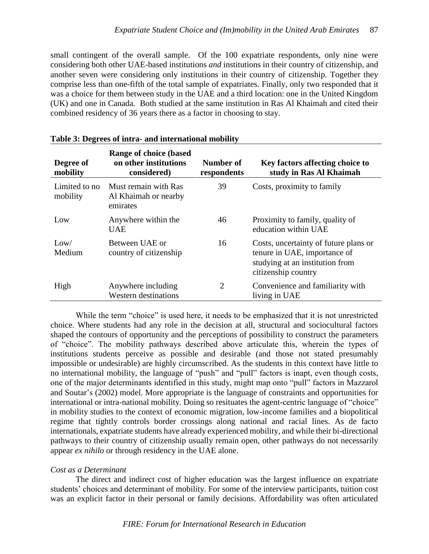small contingent of the overall sample. Of the 100 expatriate respondents, only nine were considering both other UAE-based institutions *and* institutions in their country of citizenship, and another seven were considering only institutions in their country of citizenship. Together they comprise less than one-fifth of the total sample of expatriates. Finally, only two responded that it was a choice for them between study in the UAE and a third location: one in the United Kingdom (UK) and one in Canada. Both studied at the same institution in Ras Al Khaimah and cited their combined residency of 36 years there as a factor in choosing to stay.

| Degree of<br>mobility     | <b>Range of choice (based)</b><br>on other institutions<br>considered) | Number of<br>respondents | Key factors affecting choice to<br>study in Ras Al Khaimah                                                                      |
|---------------------------|------------------------------------------------------------------------|--------------------------|---------------------------------------------------------------------------------------------------------------------------------|
| Limited to no<br>mobility | Must remain with Ras<br>Al Khaimah or nearby<br>emirates               | 39                       | Costs, proximity to family                                                                                                      |
| Low                       | Anywhere within the<br><b>UAE</b>                                      | 46                       | Proximity to family, quality of<br>education within UAE                                                                         |
| Low/<br>Medium            | Between UAE or<br>country of citizenship                               | 16                       | Costs, uncertainty of future plans or<br>tenure in UAE, importance of<br>studying at an institution from<br>citizenship country |
| High                      | Anywhere including<br><b>Western destinations</b>                      | $\overline{2}$           | Convenience and familiarity with<br>living in UAE                                                                               |

#### **Table 3: Degrees of intra- and international mobility**

While the term "choice" is used here, it needs to be emphasized that it is not unrestricted choice. Where students had any role in the decision at all, structural and sociocultural factors shaped the contours of opportunity and the perceptions of possibility to construct the parameters of "choice". The mobility pathways described above articulate this, wherein the types of institutions students perceive as possible and desirable (and those not stated presumably impossible or undesirable) are highly circumscribed. As the students in this context have little to no international mobility, the language of "push" and "pull" factors is inapt, even though costs, one of the major determinants identified in this study, might map onto "pull" factors in Mazzarol and Soutar's (2002) model. More appropriate is the language of constraints and opportunities for international or intra-national mobility. Doing so resituates the agent-centric language of "choice" in mobility studies to the context of economic migration, low-income families and a biopolitical regime that tightly controls border crossings along national and racial lines. As de facto internationals, expatriate students have already experienced mobility, and while their bi-directional pathways to their country of citizenship usually remain open, other pathways do not necessarily appear *ex nihilo* or through residency in the UAE alone.

# *Cost as a Determinant*

The direct and indirect cost of higher education was the largest influence on expatriate students' choices and determinant of mobility. For some of the interview participants, tuition cost was an explicit factor in their personal or family decisions. Affordability was often articulated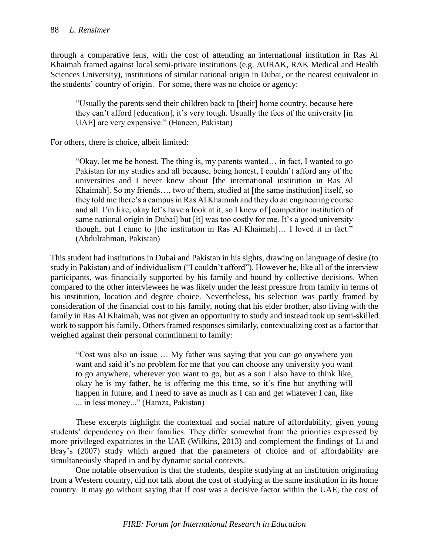through a comparative lens, with the cost of attending an international institution in Ras Al Khaimah framed against local semi-private institutions (e.g. AURAK, RAK Medical and Health Sciences University), institutions of similar national origin in Dubai, or the nearest equivalent in the students' country of origin. For some, there was no choice or agency:

"Usually the parents send their children back to [their] home country, because here they can't afford [education], it's very tough. Usually the fees of the university [in UAE] are very expensive." (Haneen, Pakistan)

For others, there is choice, albeit limited:

"Okay, let me be honest. The thing is, my parents wanted… in fact, I wanted to go Pakistan for my studies and all because, being honest, I couldn't afford any of the universities and I never knew about [the international institution in Ras Al Khaimah]. So my friends…, two of them, studied at [the same institution] itself, so they told me there's a campus in Ras Al Khaimah and they do an engineering course and all. I'm like, okay let's have a look at it, so I knew of [competitor institution of same national origin in Dubai] but [it] was too costly for me. It's a good university though, but I came to [the institution in Ras Al Khaimah]… I loved it in fact." (Abdulrahman, Pakistan)

This student had institutions in Dubai and Pakistan in his sights, drawing on language of desire (to study in Pakistan) and of individualism ("I couldn't afford"). However he, like all of the interview participants, was financially supported by his family and bound by collective decisions. When compared to the other interviewees he was likely under the least pressure from family in terms of his institution, location and degree choice. Nevertheless, his selection was partly framed by consideration of the financial cost to his family, noting that his elder brother, also living with the family in Ras Al Khaimah, was not given an opportunity to study and instead took up semi-skilled work to support his family. Others framed responses similarly, contextualizing cost as a factor that weighed against their personal commitment to family:

"Cost was also an issue … My father was saying that you can go anywhere you want and said it's no problem for me that you can choose any university you want to go anywhere, wherever you want to go, but as a son I also have to think like, okay he is my father, he is offering me this time, so it's fine but anything will happen in future, and I need to save as much as I can and get whatever I can, like ... in less money..." (Hamza, Pakistan)

These excerpts highlight the contextual and social nature of affordability, given young students' dependency on their families. They differ somewhat from the priorities expressed by more privileged expatriates in the UAE (Wilkins, 2013) and complement the findings of Li and Bray's (2007) study which argued that the parameters of choice and of affordability are simultaneously shaped in and by dynamic social contexts.

One notable observation is that the students, despite studying at an institution originating from a Western country, did not talk about the cost of studying at the same institution in its home country. It may go without saying that if cost was a decisive factor within the UAE, the cost of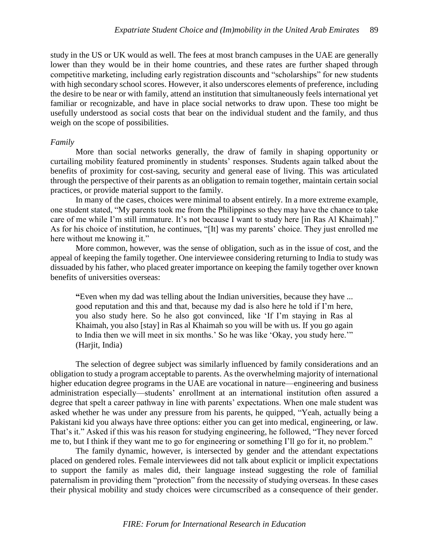study in the US or UK would as well. The fees at most branch campuses in the UAE are generally lower than they would be in their home countries, and these rates are further shaped through competitive marketing, including early registration discounts and "scholarships" for new students with high secondary school scores. However, it also underscores elements of preference, including the desire to be near or with family, attend an institution that simultaneously feels international yet familiar or recognizable, and have in place social networks to draw upon. These too might be usefully understood as social costs that bear on the individual student and the family, and thus weigh on the scope of possibilities.

#### *Family*

More than social networks generally, the draw of family in shaping opportunity or curtailing mobility featured prominently in students' responses. Students again talked about the benefits of proximity for cost-saving, security and general ease of living. This was articulated through the perspective of their parents as an obligation to remain together, maintain certain social practices, or provide material support to the family.

In many of the cases, choices were minimal to absent entirely. In a more extreme example, one student stated, "My parents took me from the Philippines so they may have the chance to take care of me while I'm still immature. It's not because I want to study here [in Ras Al Khaimah]." As for his choice of institution, he continues, "[It] was my parents' choice. They just enrolled me here without me knowing it."

More common, however, was the sense of obligation, such as in the issue of cost, and the appeal of keeping the family together. One interviewee considering returning to India to study was dissuaded by his father, who placed greater importance on keeping the family together over known benefits of universities overseas:

**"**Even when my dad was telling about the Indian universities, because they have ... good reputation and this and that, because my dad is also here he told if I'm here, you also study here. So he also got convinced, like 'If I'm staying in Ras al Khaimah, you also [stay] in Ras al Khaimah so you will be with us. If you go again to India then we will meet in six months.' So he was like 'Okay, you study here.'" (Harjit, India)

The selection of degree subject was similarly influenced by family considerations and an obligation to study a program acceptable to parents. As the overwhelming majority of international higher education degree programs in the UAE are vocational in nature—engineering and business administration especially—students' enrollment at an international institution often assured a degree that spelt a career pathway in line with parents' expectations. When one male student was asked whether he was under any pressure from his parents, he quipped, "Yeah, actually being a Pakistani kid you always have three options: either you can get into medical, engineering, or law. That's it." Asked if this was his reason for studying engineering, he followed, "They never forced me to, but I think if they want me to go for engineering or something I'll go for it, no problem."

The family dynamic, however, is intersected by gender and the attendant expectations placed on gendered roles. Female interviewees did not talk about explicit or implicit expectations to support the family as males did, their language instead suggesting the role of familial paternalism in providing them "protection" from the necessity of studying overseas. In these cases their physical mobility and study choices were circumscribed as a consequence of their gender.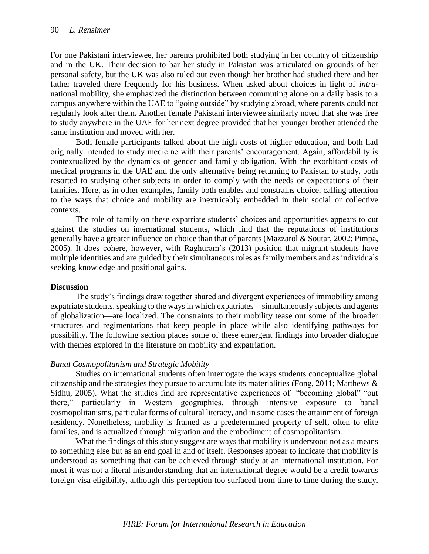For one Pakistani interviewee, her parents prohibited both studying in her country of citizenship and in the UK. Their decision to bar her study in Pakistan was articulated on grounds of her personal safety, but the UK was also ruled out even though her brother had studied there and her father traveled there frequently for his business. When asked about choices in light of *intra*national mobility, she emphasized the distinction between commuting alone on a daily basis to a campus anywhere within the UAE to "going outside" by studying abroad, where parents could not regularly look after them. Another female Pakistani interviewee similarly noted that she was free to study anywhere in the UAE for her next degree provided that her younger brother attended the same institution and moved with her.

Both female participants talked about the high costs of higher education, and both had originally intended to study medicine with their parents' encouragement. Again, affordability is contextualized by the dynamics of gender and family obligation. With the exorbitant costs of medical programs in the UAE and the only alternative being returning to Pakistan to study, both resorted to studying other subjects in order to comply with the needs or expectations of their families. Here, as in other examples, family both enables and constrains choice, calling attention to the ways that choice and mobility are inextricably embedded in their social or collective contexts.

The role of family on these expatriate students' choices and opportunities appears to cut against the studies on international students, which find that the reputations of institutions generally have a greater influence on choice than that of parents (Mazzarol & Soutar, 2002; Pimpa, 2005). It does cohere, however, with Raghuram's (2013) position that migrant students have multiple identities and are guided by their simultaneous roles as family members and as individuals seeking knowledge and positional gains.

### **Discussion**

The study's findings draw together shared and divergent experiences of immobility among expatriate students, speaking to the ways in which expatriates—simultaneously subjects and agents of globalization—are localized. The constraints to their mobility tease out some of the broader structures and regimentations that keep people in place while also identifying pathways for possibility. The following section places some of these emergent findings into broader dialogue with themes explored in the literature on mobility and expatriation.

### *Banal Cosmopolitanism and Strategic Mobility*

Studies on international students often interrogate the ways students conceptualize global citizenship and the strategies they pursue to accumulate its materialities (Fong, 2011; Matthews & Sidhu, 2005). What the studies find are representative experiences of "becoming global" "out there," particularly in Western geographies, through intensive exposure to banal cosmopolitanisms, particular forms of cultural literacy, and in some cases the attainment of foreign residency. Nonetheless, mobility is framed as a predetermined property of self, often to elite families, and is actualized through migration and the embodiment of cosmopolitanism.

What the findings of this study suggest are ways that mobility is understood not as a means to something else but as an end goal in and of itself. Responses appear to indicate that mobility is understood as something that can be achieved through study at an international institution. For most it was not a literal misunderstanding that an international degree would be a credit towards foreign visa eligibility, although this perception too surfaced from time to time during the study.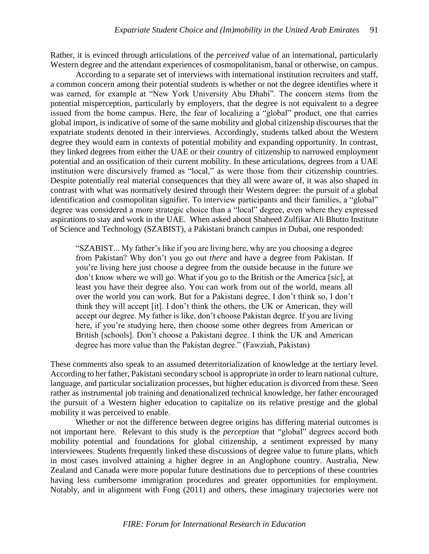Rather, it is evinced through articulations of the *perceived* value of an international, particularly Western degree and the attendant experiences of cosmopolitanism, banal or otherwise, on campus.

According to a separate set of interviews with international institution recruiters and staff, a common concern among their potential students is whether or not the degree identifies where it was earned, for example at "New York University Abu Dhabi". The concern stems from the potential misperception, particularly by employers, that the degree is not equivalent to a degree issued from the home campus. Here, the fear of localizing a "global" product, one that carries global import, is indicative of some of the same mobility and global citizenship discourses that the expatriate students denoted in their interviews. Accordingly, students talked about the Western degree they would earn in contexts of potential mobility and expanding opportunity. In contrast, they linked degrees from either the UAE or their country of citizenship to narrowed employment potential and an ossification of their current mobility. In these articulations, degrees from a UAE institution were discursively framed as "local," as were those from their citizenship countries. Despite potentially real material consequences that they all were aware of, it was also shaped in contrast with what was normatively desired through their Western degree: the pursuit of a global identification and cosmopolitan signifier. To interview participants and their families, a "global" degree was considered a more strategic choice than a "local" degree, even where they expressed aspirations to stay and work in the UAE. When asked about Shaheed Zulfikar Ali Bhutto Institute of Science and Technology (SZABIST), a Pakistani branch campus in Dubai, one responded:

"SZABIST... My father's like if you are living here, why are you choosing a degree from Pakistan? Why don't you go out *there* and have a degree from Pakistan. If you're living here just choose a degree from the outside because in the future we don't know where we will go. What if you go to the British or the America [*sic*], at least you have their degree also. You can work from out of the world, means all over the world you can work. But for a Pakistani degree, I don't think so, I don't think they will accept [it]. I don't think the others, the UK or American, they will accept our degree. My father is like, don't choose Pakistan degree. If you are living here, if you're studying here, then choose some other degrees from American or British [schools]. Don't choose a Pakistani degree. I think the UK and American degree has more value than the Pakistan degree." (Fawziah, Pakistan)

These comments also speak to an assumed deterritorialization of knowledge at the tertiary level. According to her father, Pakistani secondary school is appropriate in order to learn national culture, language, and particular socialization processes, but higher education is divorced from these. Seen rather as instrumental job training and denationalized technical knowledge, her father encouraged the pursuit of a Western higher education to capitalize on its relative prestige and the global mobility it was perceived to enable.

Whether or not the difference between degree origins has differing material outcomes is not important here. Relevant to this study is the *perception* that "global" degrees accord both mobility potential and foundations for global citizenship, a sentiment expressed by many interviewees. Students frequently linked these discussions of degree value to future plans, which in most cases involved attaining a higher degree in an Anglophone country. Australia, New Zealand and Canada were more popular future destinations due to perceptions of these countries having less cumbersome immigration procedures and greater opportunities for employment. Notably, and in alignment with Fong (2011) and others, these imaginary trajectories were not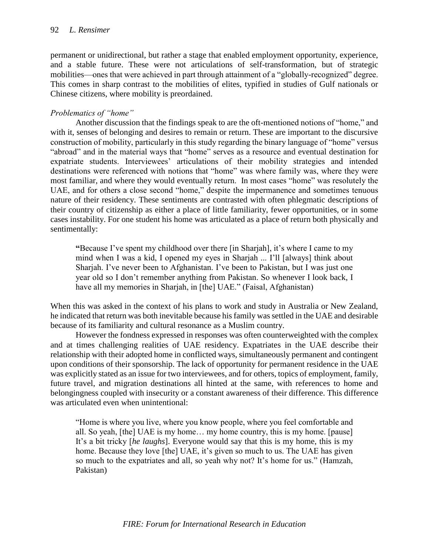permanent or unidirectional, but rather a stage that enabled employment opportunity, experience, and a stable future. These were not articulations of self-transformation, but of strategic mobilities—ones that were achieved in part through attainment of a "globally-recognized" degree. This comes in sharp contrast to the mobilities of elites, typified in studies of Gulf nationals or Chinese citizens, where mobility is preordained.

# *Problematics of "home"*

Another discussion that the findings speak to are the oft-mentioned notions of "home," and with it, senses of belonging and desires to remain or return. These are important to the discursive construction of mobility, particularly in this study regarding the binary language of "home" versus "abroad" and in the material ways that "home" serves as a resource and eventual destination for expatriate students. Interviewees' articulations of their mobility strategies and intended destinations were referenced with notions that "home" was where family was, where they were most familiar, and where they would eventually return. In most cases "home" was resolutely the UAE, and for others a close second "home," despite the impermanence and sometimes tenuous nature of their residency. These sentiments are contrasted with often phlegmatic descriptions of their country of citizenship as either a place of little familiarity, fewer opportunities, or in some cases instability. For one student his home was articulated as a place of return both physically and sentimentally:

**"**Because I've spent my childhood over there [in Sharjah], it's where I came to my mind when I was a kid, I opened my eyes in Sharjah ... I'll [always] think about Sharjah. I've never been to Afghanistan. I've been to Pakistan, but I was just one year old so I don't remember anything from Pakistan. So whenever I look back, I have all my memories in Sharjah, in [the] UAE." (Faisal, Afghanistan)

When this was asked in the context of his plans to work and study in Australia or New Zealand, he indicated that return was both inevitable because his family was settled in the UAE and desirable because of its familiarity and cultural resonance as a Muslim country.

However the fondness expressed in responses was often counterweighted with the complex and at times challenging realities of UAE residency. Expatriates in the UAE describe their relationship with their adopted home in conflicted ways, simultaneously permanent and contingent upon conditions of their sponsorship. The lack of opportunity for permanent residence in the UAE was explicitly stated as an issue for two interviewees, and for others, topics of employment, family, future travel, and migration destinations all hinted at the same, with references to home and belongingness coupled with insecurity or a constant awareness of their difference. This difference was articulated even when unintentional:

"Home is where you live, where you know people, where you feel comfortable and all. So yeah, [the] UAE is my home… my home country, this is my home. [pause] It's a bit tricky [*he laughs*]. Everyone would say that this is my home, this is my home. Because they love [the] UAE, it's given so much to us. The UAE has given so much to the expatriates and all, so yeah why not? It's home for us." (Hamzah, Pakistan)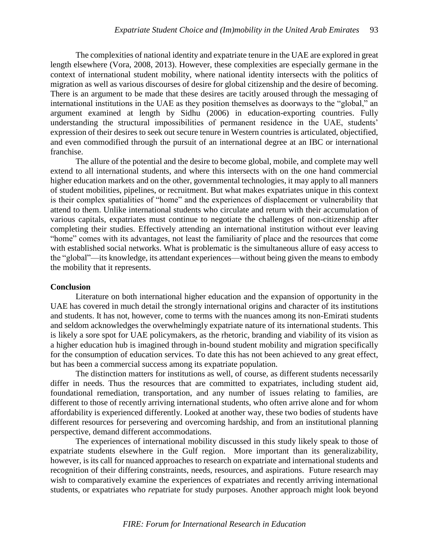The complexities of national identity and expatriate tenure in the UAE are explored in great length elsewhere (Vora, 2008, 2013). However, these complexities are especially germane in the context of international student mobility, where national identity intersects with the politics of migration as well as various discourses of desire for global citizenship and the desire of becoming. There is an argument to be made that these desires are tacitly aroused through the messaging of international institutions in the UAE as they position themselves as doorways to the "global," an argument examined at length by Sidhu (2006) in education-exporting countries. Fully understanding the structural impossibilities of permanent residence in the UAE, students' expression of their desires to seek out secure tenure in Western countries is articulated, objectified, and even commodified through the pursuit of an international degree at an IBC or international franchise.

The allure of the potential and the desire to become global, mobile, and complete may well extend to all international students, and where this intersects with on the one hand commercial higher education markets and on the other, governmental technologies, it may apply to all manners of student mobilities, pipelines, or recruitment. But what makes expatriates unique in this context is their complex spatialities of "home" and the experiences of displacement or vulnerability that attend to them. Unlike international students who circulate and return with their accumulation of various capitals, expatriates must continue to negotiate the challenges of non-citizenship after completing their studies. Effectively attending an international institution without ever leaving "home" comes with its advantages, not least the familiarity of place and the resources that come with established social networks. What is problematic is the simultaneous allure of easy access to the "global"—its knowledge, its attendant experiences—without being given the means to embody the mobility that it represents.

#### **Conclusion**

Literature on both international higher education and the expansion of opportunity in the UAE has covered in much detail the strongly international origins and character of its institutions and students. It has not, however, come to terms with the nuances among its non-Emirati students and seldom acknowledges the overwhelmingly expatriate nature of its international students. This is likely a sore spot for UAE policymakers, as the rhetoric, branding and viability of its vision as a higher education hub is imagined through in-bound student mobility and migration specifically for the consumption of education services. To date this has not been achieved to any great effect, but has been a commercial success among its expatriate population.

The distinction matters for institutions as well, of course, as different students necessarily differ in needs. Thus the resources that are committed to expatriates, including student aid, foundational remediation, transportation, and any number of issues relating to families, are different to those of recently arriving international students, who often arrive alone and for whom affordability is experienced differently. Looked at another way, these two bodies of students have different resources for persevering and overcoming hardship, and from an institutional planning perspective, demand different accommodations.

The experiences of international mobility discussed in this study likely speak to those of expatriate students elsewhere in the Gulf region. More important than its generalizability, however, is its call for nuanced approaches to research on expatriate and international students and recognition of their differing constraints, needs, resources, and aspirations. Future research may wish to comparatively examine the experiences of expatriates and recently arriving international students, or expatriates who *re*patriate for study purposes. Another approach might look beyond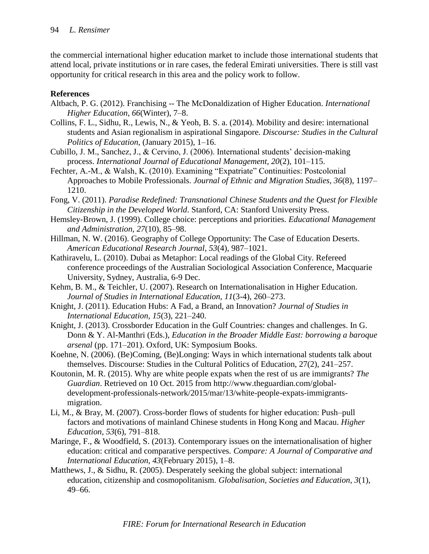the commercial international higher education market to include those international students that attend local, private institutions or in rare cases, the federal Emirati universities. There is still vast opportunity for critical research in this area and the policy work to follow.

# **References**

- Altbach, P. G. (2012). Franchising -- The McDonaldization of Higher Education. *International Higher Education*, *66*(Winter), 7–8.
- Collins, F. L., Sidhu, R., Lewis, N., & Yeoh, B. S. a. (2014). Mobility and desire: international students and Asian regionalism in aspirational Singapore. *Discourse: Studies in the Cultural Politics of Education*, (January 2015), 1–16.
- Cubillo, J. M., Sanchez, J., & Cervino, J. (2006). International students' decision-making process. *International Journal of Educational Management, 20*(2), 101–115.
- Fechter, A.-M., & Walsh, K. (2010). Examining "Expatriate" Continuities: Postcolonial Approaches to Mobile Professionals. *Journal of Ethnic and Migration Studies, 36*(8), 1197– 1210.
- Fong, V. (2011). *Paradise Redefined: Transnational Chinese Students and the Quest for Flexible Citizenship in the Developed World*. Stanford, CA: Stanford University Press.
- Hemsley-Brown, J. (1999). College choice: perceptions and priorities. *Educational Management and Administration, 27*(10), 85–98.
- Hillman, N. W. (2016). Geography of College Opportunity: The Case of Education Deserts. *American Educational Research Journal*, *53*(4), 987–1021.
- Kathiravelu, L. (2010). Dubai as Metaphor: Local readings of the Global City. Refereed conference proceedings of the Australian Sociological Association Conference, Macquarie University, Sydney, Australia, 6-9 Dec.
- Kehm, B. M., & Teichler, U. (2007). Research on Internationalisation in Higher Education. *Journal of Studies in International Education, 11*(3-4), 260–273.
- Knight, J. (2011). Education Hubs: A Fad, a Brand, an Innovation? *Journal of Studies in International Education, 15*(3), 221–240.
- Knight, J. (2013). Crossborder Education in the Gulf Countries: changes and challenges. In G. Donn & Y. Al-Manthri (Eds.), *Education in the Broader Middle East: borrowing a baroque arsenal* (pp. 171–201). Oxford, UK: Symposium Books.
- Koehne, N. (2006). (Be)Coming, (Be)Longing: Ways in which international students talk about themselves. Discourse: Studies in the Cultural Politics of Education, 27(2), 241–257.
- Koutonin, M. R. (2015). Why are white people expats when the rest of us are immigrants? *The Guardian*. Retrieved on 10 Oct. 2015 from http://www.theguardian.com/globaldevelopment-professionals-network/2015/mar/13/white-people-expats-immigrantsmigration.
- Li, M., & Bray, M. (2007). Cross-border flows of students for higher education: Push–pull factors and motivations of mainland Chinese students in Hong Kong and Macau. *Higher Education, 53*(6), 791–818.
- Maringe, F., & Woodfield, S. (2013). Contemporary issues on the internationalisation of higher education: critical and comparative perspectives. *Compare: A Journal of Comparative and International Education, 43*(February 2015), 1–8.
- Matthews, J., & Sidhu, R. (2005). Desperately seeking the global subject: international education, citizenship and cosmopolitanism. *Globalisation, Societies and Education, 3*(1), 49–66.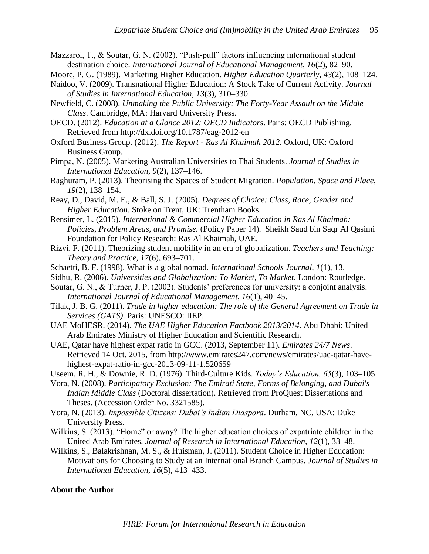Mazzarol, T., & Soutar, G. N. (2002). "Push-pull" factors influencing international student destination choice. *International Journal of Educational Management, 16*(2), 82–90.

- Moore, P. G. (1989). Marketing Higher Education. *Higher Education Quarterly, 43*(2), 108–124.
- Naidoo, V. (2009). Transnational Higher Education: A Stock Take of Current Activity. *Journal of Studies in International Education, 13*(3), 310–330.
- Newfield, C. (2008). *Unmaking the Public University: The Forty-Year Assault on the Middle Class*. Cambridge, MA: Harvard University Press.
- OECD. (2012). *Education at a Glance 2012: OECD Indicators*. Paris: OECD Publishing. Retrieved from http://dx.doi.org/10.1787/eag-2012-en
- Oxford Business Group. (2012). *The Report - Ras Al Khaimah 2012*. Oxford, UK: Oxford Business Group.
- Pimpa, N. (2005). Marketing Australian Universities to Thai Students. *Journal of Studies in International Education, 9*(2), 137–146.
- Raghuram, P. (2013). Theorising the Spaces of Student Migration. *Population, Space and Place, 19*(2), 138–154.
- Reay, D., David, M. E., & Ball, S. J. (2005). *Degrees of Choice: Class, Race, Gender and Higher Education*. Stoke on Trent, UK: Trentham Books.
- Rensimer, L. (2015). *International & Commercial Higher Education in Ras Al Khaimah: Policies, Problem Areas, and Promise.* (Policy Paper 14). Sheikh Saud bin Saqr Al Qasimi Foundation for Policy Research: Ras Al Khaimah, UAE.
- Rizvi, F. (2011). Theorizing student mobility in an era of globalization. *Teachers and Teaching: Theory and Practice, 17*(6), 693–701.
- Schaetti, B. F. (1998). What is a global nomad. *International Schools Journal, 1*(1), 13.
- Sidhu, R. (2006). *Universities and Globalization: To Market, To Market*. London: Routledge.
- Soutar, G. N., & Turner, J. P. (2002). Students' preferences for university: a conjoint analysis. *International Journal of Educational Management, 16*(1), 40–45.
- Tilak, J. B. G. (2011). *Trade in higher education: The role of the General Agreement on Trade in Services (GATS)*. Paris: UNESCO: IIEP.
- UAE MoHESR. (2014). *The UAE Higher Education Factbook 2013/2014*. Abu Dhabi: United Arab Emirates Ministry of Higher Education and Scientific Research.
- UAE, Qatar have highest expat ratio in GCC. (2013, September 11). *Emirates 24/7 News*. Retrieved 14 Oct. 2015, from http://www.emirates247.com/news/emirates/uae-qatar-havehighest-expat-ratio-in-gcc-2013-09-11-1.520659
- Useem, R. H., & Downie, R. D. (1976). Third-Culture Kids. *Today's Education, 65*(3), 103–105.
- Vora, N. (2008). *Participatory Exclusion: The Emirati State, Forms of Belonging, and Dubai's Indian Middle Class* (Doctoral dissertation). Retrieved from ProQuest Dissertations and Theses. (Accession Order No. 3321585).
- Vora, N. (2013). *Impossible Citizens: Dubai's Indian Diaspora*. Durham, NC, USA: Duke University Press.
- Wilkins, S. (2013). "Home" or away? The higher education choices of expatriate children in the United Arab Emirates. *Journal of Research in International Education, 12*(1), 33–48.
- Wilkins, S., Balakrishnan, M. S., & Huisman, J. (2011). Student Choice in Higher Education: Motivations for Choosing to Study at an International Branch Campus. *Journal of Studies in International Education, 16*(5), 413–433.

#### **About the Author**